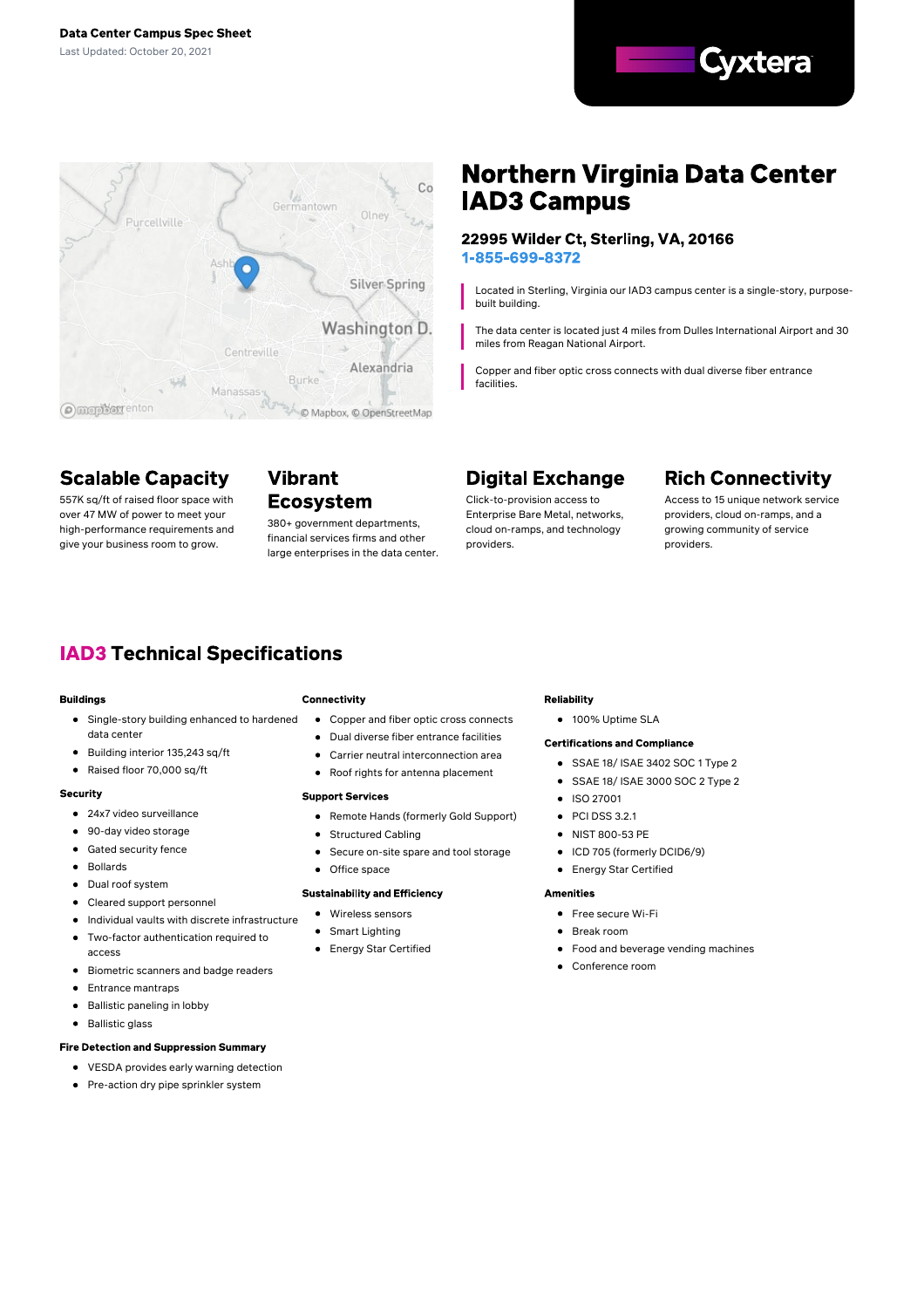



## **Scalable Capacity**

557K sq/ft of raised floor space with over 47 MW of power to meet your high-performance requirements and give your business room to grow.

### **Vibrant Ecosystem**

380+ government departments, financial services firms and other large enterprises in the data center.

# **Northern Virginia Data Center IAD3 Campus**

### 22995 Wilder Ct, Sterling, VA, 20166 1-855-699-8372

Located in Sterling, Virginia our IAD3 campus center is a single-story, purposebuilt building.

The data center is located just 4 miles from Dulles International Airport and 30 miles from Reagan National Airport.

Copper and fiber optic cross connects with dual diverse fiber entrance facilities.

# **Digital Exchange**

Click-to-provision access to Enterprise Bare Metal, networks, cloud on-ramps, and technology providers.

# **Rich Connectivity**

Access to 15 unique network service providers, cloud on-ramps, and a growing community of service providers.

# **IAD3 Technical Specifications**

#### **Buildings**

- **•** Single-story building enhanced to hardened data center
- $\bullet$ Building interior 135,243 sq/ft
- $\bullet$ Raised floor 70,000 sq/ft

#### Security

- 24x7 video surveillance
- 90-day video storage
- Gated security fence
- Bollards
- Dual roof system
- Cleared support personnel
- $\bullet$  Individual vaults with discrete infrastructure
- Two-factor authentication required to access
- $\bullet$ Biometric scanners and badge readers
- $\bullet$ Entrance mantraps
- $\bullet$ Ballistic paneling in lobby
- $\bullet$ Ballistic glass

#### **Fire Detection and Suppression Summary**

- VESDA provides early warning detection
- $\bullet$ Pre-action dry pipe sprinkler system

#### Connectivity

- Copper and fiber optic cross connects
- Dual diverse fiber entrance facilities
- Carrier neutral interconnection area
- Roof rights for antenna placement

#### **Support Services**

- Remote Hands (formerly Gold Support)
- $\bullet$ Structured Cabling
- Secure on-site spare and tool storage  $\bullet$

### **Sustainability and Efficiency**

- 
- Wireless sensors

Office space

- Smart Lighting  $\bullet$
- Energy Star Certified

#### **Reliability**

● 100% Uptime SLA

#### **Certifications and Compliance**

- SSAE 18/ ISAE 3402 SOC 1 Type 2
- SSAE 18/ ISAE 3000 SOC 2 Type 2
- ISO 27001
- $\bullet$  PCI DSS 3.2.1
- NIST 800-53 PE
- ICD 705 (formerly DCID6/9)
- Energy Star Certified  $\bullet$

#### **Amenities**

- **•** Free secure Wi-Fi
- **Break room**
- Food and beverage vending machines  $\bullet$
- Conference room